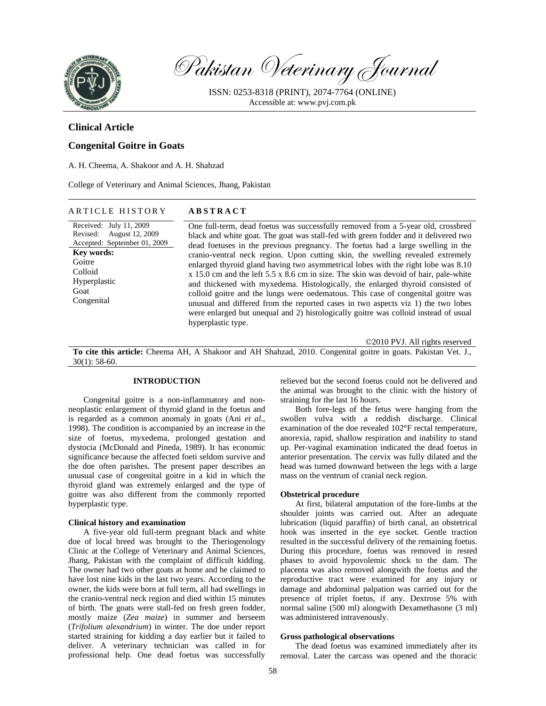

Pakistan Veterinary Journal

ISSN: 0253-8318 (PRINT), 2074-7764 (ONLINE) Accessible at: www.pvj.com.pk

# **Clinical Article**

## **Congenital Goitre in Goats**

A. H. Cheema, A. Shakoor and A. H. Shahzad

College of Veterinary and Animal Sciences, Jhang, Pakistan

### ARTICLE HISTORY **ABSTRACT**

Received: July 11, 2009 Revised: August 12, 2009 Accepted: September 01, 2009 **Key words:**  Goitre Colloid Hyperplastic Goat Congenital

One full-term, dead foetus was successfully removed from a 5-year old, crossbred black and white goat. The goat was stall-fed with green fodder and it delivered two dead foetuses in the previous pregnancy. The foetus had a large swelling in the cranio-ventral neck region. Upon cutting skin, the swelling revealed extremely enlarged thyroid gland having two asymmetrical lobes with the right lobe was 8.10 x 15.0 cm and the left 5.5 x 8.6 cm in size. The skin was devoid of hair, pale-white and thickened with myxedema. Histologically, the enlarged thyroid consisted of colloid goitre and the lungs were oedematous. This case of congenital goitre was unusual and differed from the reported cases in two aspects viz 1) the two lobes were enlarged but unequal and 2) histologically goitre was colloid instead of usual hyperplastic type.

©2010 PVJ. All rights reserved

**To cite this article:** Cheema AH, A Shakoor and AH Shahzad, 2010. Congenital goitre in goats. Pakistan Vet. J., 30(1): 58-60.

## **INTRODUCTION**

Congenital goitre is a non-inflammatory and nonneoplastic enlargement of thyroid gland in the foetus and is regarded as a common anomaly in goats (Ani *et al.*, 1998). The condition is accompanied by an increase in the size of foetus, myxedema, prolonged gestation and dystocia (McDonald and Pineda, 1989). It has economic significance because the affected foeti seldom survive and the doe often parishes. The present paper describes an unusual case of congenital goitre in a kid in which the thyroid gland was extremely enlarged and the type of goitre was also different from the commonly reported hyperplastic type.

#### **Clinical history and examination**

A five-year old full-term pregnant black and white doe of local breed was brought to the Theriogenology Clinic at the College of Veterinary and Animal Sciences, Jhang, Pakistan with the complaint of difficult kidding. The owner had two other goats at home and he claimed to have lost nine kids in the last two years. According to the owner, the kids were born at full term, all had swellings in the cranio-ventral neck region and died within 15 minutes of birth. The goats were stall-fed on fresh green fodder, mostly maize (*Zea maize*) in summer and berseem (*Trifolium alexandrium*) in winter. The doe under report started straining for kidding a day earlier but it failed to deliver. A veterinary technician was called in for professional help. One dead foetus was successfully

relieved but the second foetus could not be delivered and the animal was brought to the clinic with the history of straining for the last 16 hours.

Both fore-legs of the fetus were hanging from the swollen vulva with a reddish discharge. Clinical examination of the doe revealed 102**°**F rectal temperature, anorexia, rapid, shallow respiration and inability to stand up. Per-vaginal examination indicated the dead foetus in anterior presentation. The cervix was fully dilated and the head was turned downward between the legs with a large mass on the ventrum of cranial neck region.

#### **Obstetrical procedure**

At first, bilateral amputation of the fore-limbs at the shoulder joints was carried out. After an adequate lubrication (liquid paraffin) of birth canal, an obstetrical hook was inserted in the eye socket. Gentle traction resulted in the successful delivery of the remaining foetus. During this procedure, foetus was removed in rested phases to avoid hypovolemic shock to the dam. The placenta was also removed alongwith the foetus and the reproductive tract were examined for any injury or damage and abdominal palpation was carried out for the presence of triplet foetus, if any. Dextrose 5% with normal saline (500 ml) alongwith Dexamethasone (3 ml) was administered intravenously.

#### **Gross pathological observations**

The dead foetus was examined immediately after its removal. Later the carcass was opened and the thoracic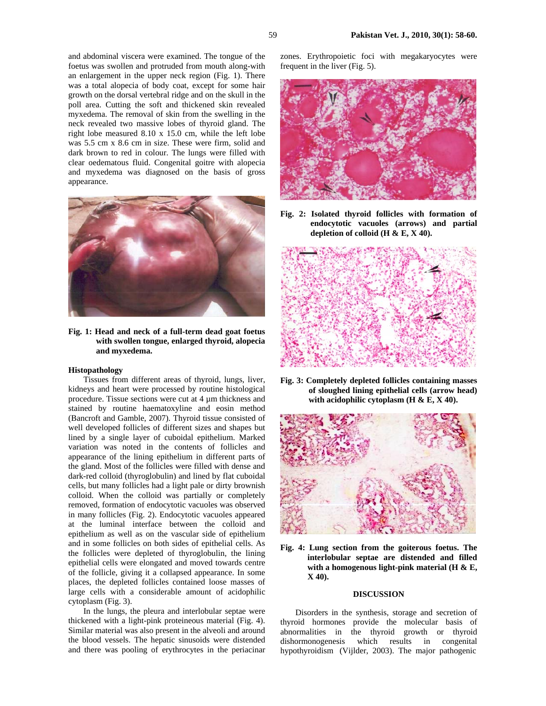and abdominal viscera were examined. The tongue of the foetus was swollen and protruded from mouth along-with an enlargement in the upper neck region (Fig. 1). There was a total alopecia of body coat, except for some hair growth on the dorsal vertebral ridge and on the skull in the poll area. Cutting the soft and thickened skin revealed myxedema. The removal of skin from the swelling in the neck revealed two massive lobes of thyroid gland. The right lobe measured 8.10 x 15.0 cm, while the left lobe was 5.5 cm x 8.6 cm in size. These were firm, solid and dark brown to red in colour. The lungs were filled with clear oedematous fluid. Congenital goitre with alopecia and myxedema was diagnosed on the basis of gross appearance.



**Fig. 1: Head and neck of a full-term dead goat foetus with swollen tongue, enlarged thyroid, alopecia and myxedema.** 

#### **Histopathology**

Tissues from different areas of thyroid, lungs, liver, kidneys and heart were processed by routine histological procedure. Tissue sections were cut at 4 µm thickness and stained by routine haematoxyline and eosin method (Bancroft and Gamble, 2007). Thyroid tissue consisted of well developed follicles of different sizes and shapes but lined by a single layer of cuboidal epithelium. Marked variation was noted in the contents of follicles and appearance of the lining epithelium in different parts of the gland. Most of the follicles were filled with dense and dark-red colloid (thyroglobulin) and lined by flat cuboidal cells, but many follicles had a light pale or dirty brownish colloid. When the colloid was partially or completely removed, formation of endocytotic vacuoles was observed in many follicles (Fig. 2). Endocytotic vacuoles appeared at the luminal interface between the colloid and epithelium as well as on the vascular side of epithelium and in some follicles on both sides of epithelial cells. As the follicles were depleted of thyroglobulin, the lining epithelial cells were elongated and moved towards centre of the follicle, giving it a collapsed appearance. In some places, the depleted follicles contained loose masses of large cells with a considerable amount of acidophilic cytoplasm (Fig. 3).

In the lungs, the pleura and interlobular septae were thickened with a light-pink proteineous material (Fig. 4). Similar material was also present in the alveoli and around the blood vessels. The hepatic sinusoids were distended and there was pooling of erythrocytes in the periacinar

zones. Erythropoietic foci with megakaryocytes were frequent in the liver (Fig. 5).



**Fig. 2: Isolated thyroid follicles with formation of endocytotic vacuoles (arrows) and partial depletion of colloid (H & E, X 40).** 



**Fig. 3: Completely depleted follicles containing masses of sloughed lining epithelial cells (arrow head) with acidophilic cytoplasm (H & E, X 40).** 



**Fig. 4: Lung section from the goiterous foetus. The interlobular septae are distended and filled with a homogenous light-pink material (H & E, X 40).** 

## **DISCUSSION**

Disorders in the synthesis, storage and secretion of thyroid hormones provide the molecular basis of abnormalities in the thyroid growth or thyroid dishormonogenesis which results in congenital hypothyroidism (Vijlder, 2003). The major pathogenic